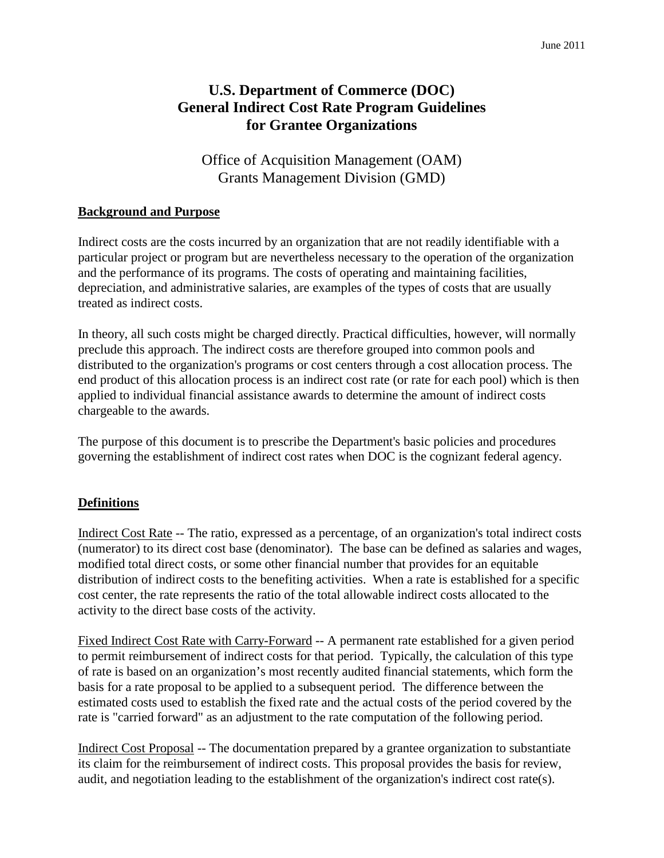# **U.S. Department of Commerce (DOC) General Indirect Cost Rate Program Guidelines for Grantee Organizations**

Office of Acquisition Management (OAM) Grants Management Division (GMD)

#### **Background and Purpose**

Indirect costs are the costs incurred by an organization that are not readily identifiable with a particular project or program but are nevertheless necessary to the operation of the organization and the performance of its programs. The costs of operating and maintaining facilities, depreciation, and administrative salaries, are examples of the types of costs that are usually treated as indirect costs.

In theory, all such costs might be charged directly. Practical difficulties, however, will normally preclude this approach. The indirect costs are therefore grouped into common pools and distributed to the organization's programs or cost centers through a cost allocation process. The end product of this allocation process is an indirect cost rate (or rate for each pool) which is then applied to individual financial assistance awards to determine the amount of indirect costs chargeable to the awards.

The purpose of this document is to prescribe the Department's basic policies and procedures governing the establishment of indirect cost rates when DOC is the cognizant federal agency.

### **Definitions**

Indirect Cost Rate -- The ratio, expressed as a percentage, of an organization's total indirect costs (numerator) to its direct cost base (denominator). The base can be defined as salaries and wages, modified total direct costs, or some other financial number that provides for an equitable distribution of indirect costs to the benefiting activities. When a rate is established for a specific cost center, the rate represents the ratio of the total allowable indirect costs allocated to the activity to the direct base costs of the activity.

Fixed Indirect Cost Rate with Carry-Forward -- A permanent rate established for a given period to permit reimbursement of indirect costs for that period. Typically, the calculation of this type of rate is based on an organization's most recently audited financial statements, which form the basis for a rate proposal to be applied to a subsequent period. The difference between the estimated costs used to establish the fixed rate and the actual costs of the period covered by the rate is "carried forward" as an adjustment to the rate computation of the following period.

Indirect Cost Proposal -- The documentation prepared by a grantee organization to substantiate its claim for the reimbursement of indirect costs. This proposal provides the basis for review, audit, and negotiation leading to the establishment of the organization's indirect cost rate(s).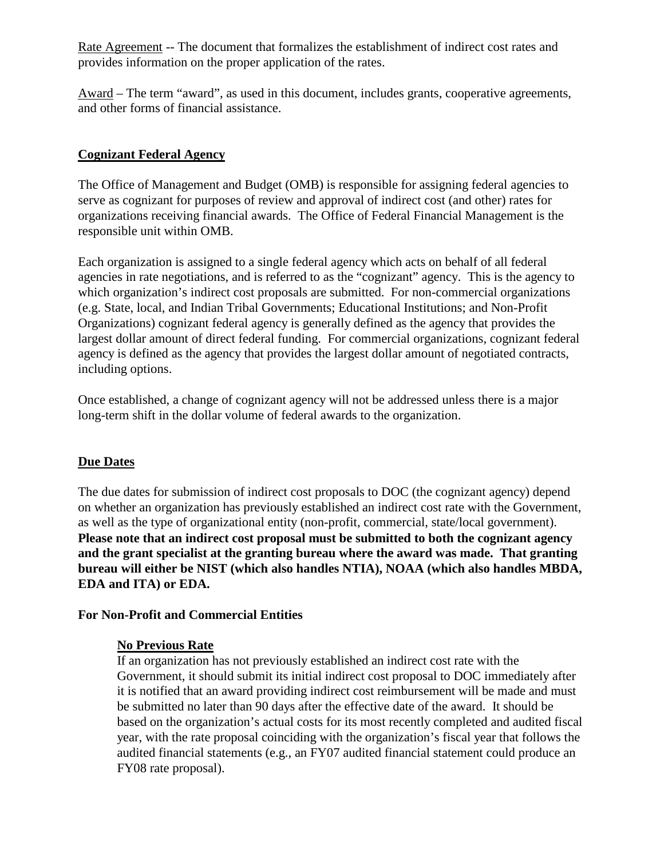Rate Agreement -- The document that formalizes the establishment of indirect cost rates and provides information on the proper application of the rates.

Award – The term "award", as used in this document, includes grants, cooperative agreements, and other forms of financial assistance.

#### **Cognizant Federal Agency**

The Office of Management and Budget (OMB) is responsible for assigning federal agencies to serve as cognizant for purposes of review and approval of indirect cost (and other) rates for organizations receiving financial awards. The Office of Federal Financial Management is the responsible unit within OMB.

Each organization is assigned to a single federal agency which acts on behalf of all federal agencies in rate negotiations, and is referred to as the "cognizant" agency. This is the agency to which organization's indirect cost proposals are submitted. For non-commercial organizations (e.g. State, local, and Indian Tribal Governments; Educational Institutions; and Non-Profit Organizations) cognizant federal agency is generally defined as the agency that provides the largest dollar amount of direct federal funding. For commercial organizations, cognizant federal agency is defined as the agency that provides the largest dollar amount of negotiated contracts, including options.

Once established, a change of cognizant agency will not be addressed unless there is a major long-term shift in the dollar volume of federal awards to the organization.

#### **Due Dates**

The due dates for submission of indirect cost proposals to DOC (the cognizant agency) depend on whether an organization has previously established an indirect cost rate with the Government, as well as the type of organizational entity (non-profit, commercial, state/local government). **Please note that an indirect cost proposal must be submitted to both the cognizant agency and the grant specialist at the granting bureau where the award was made. That granting bureau will either be NIST (which also handles NTIA), NOAA (which also handles MBDA, EDA and ITA) or EDA.** 

#### **For Non-Profit and Commercial Entities**

#### **No Previous Rate**

If an organization has not previously established an indirect cost rate with the Government, it should submit its initial indirect cost proposal to DOC immediately after it is notified that an award providing indirect cost reimbursement will be made and must be submitted no later than 90 days after the effective date of the award. It should be based on the organization's actual costs for its most recently completed and audited fiscal year, with the rate proposal coinciding with the organization's fiscal year that follows the audited financial statements (e.g., an FY07 audited financial statement could produce an FY08 rate proposal).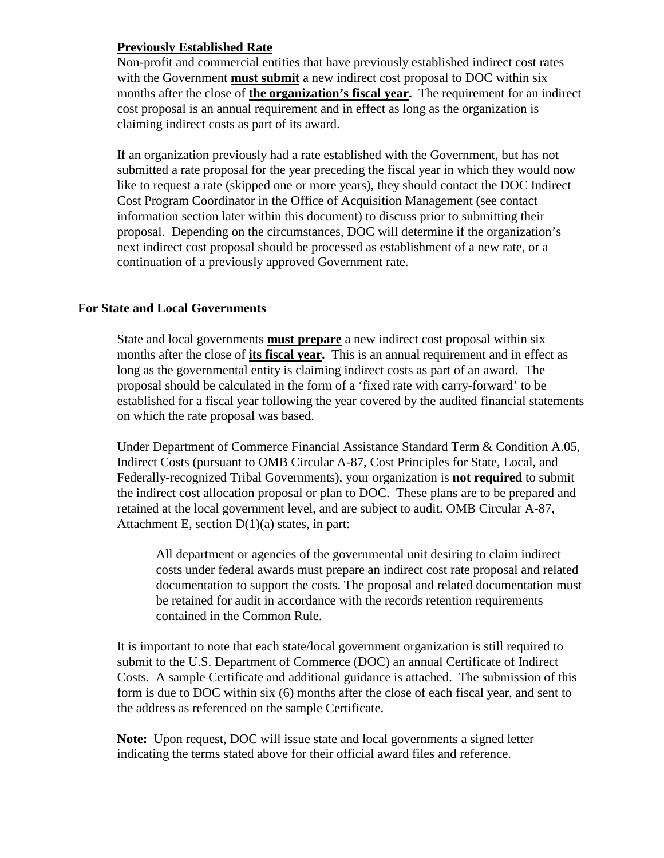### **Previously Established Rate**

Non-profit and commercial entities that have previously established indirect cost rates with the Government **must submit** a new indirect cost proposal to DOC within six months after the close of **the organization's fiscal year.** The requirement for an indirect cost proposal is an annual requirement and in effect as long as the organization is claiming indirect costs as part of its award.

If an organization previously had a rate established with the Government, but has not submitted a rate proposal for the year preceding the fiscal year in which they would now like to request a rate (skipped one or more years), they should contact the DOC Indirect Cost Program Coordinator in the Office of Acquisition Management (see contact information section later within this document) to discuss prior to submitting their proposal. Depending on the circumstances, DOC will determine if the organization's next indirect cost proposal should be processed as establishment of a new rate, or a continuation of a previously approved Government rate.

#### **For State and Local Governments**

State and local governments **must prepare** a new indirect cost proposal within six months after the close of **its fiscal year.** This is an annual requirement and in effect as long as the governmental entity is claiming indirect costs as part of an award. The proposal should be calculated in the form of a 'fixed rate with carry-forward' to be established for a fiscal year following the year covered by the audited financial statements on which the rate proposal was based.

Under Department of Commerce Financial Assistance Standard Term & Condition A.05, Indirect Costs (pursuant to OMB Circular A-87, Cost Principles for State, Local, and Federally-recognized Tribal Governments), your organization is **not required** to submit the indirect cost allocation proposal or plan to DOC. These plans are to be prepared and retained at the local government level, and are subject to audit. OMB Circular A-87, Attachment E, section  $D(1)(a)$  states, in part:

All department or agencies of the governmental unit desiring to claim indirect costs under federal awards must prepare an indirect cost rate proposal and related documentation to support the costs. The proposal and related documentation must be retained for audit in accordance with the records retention requirements contained in the Common Rule.

It is important to note that each state/local government organization is still required to submit to the U.S. Department of Commerce (DOC) an annual Certificate of Indirect Costs. A sample Certificate and additional guidance is attached. The submission of this form is due to DOC within six (6) months after the close of each fiscal year, and sent to the address as referenced on the sample Certificate.

**Note:** Upon request, DOC will issue state and local governments a signed letter indicating the terms stated above for their official award files and reference.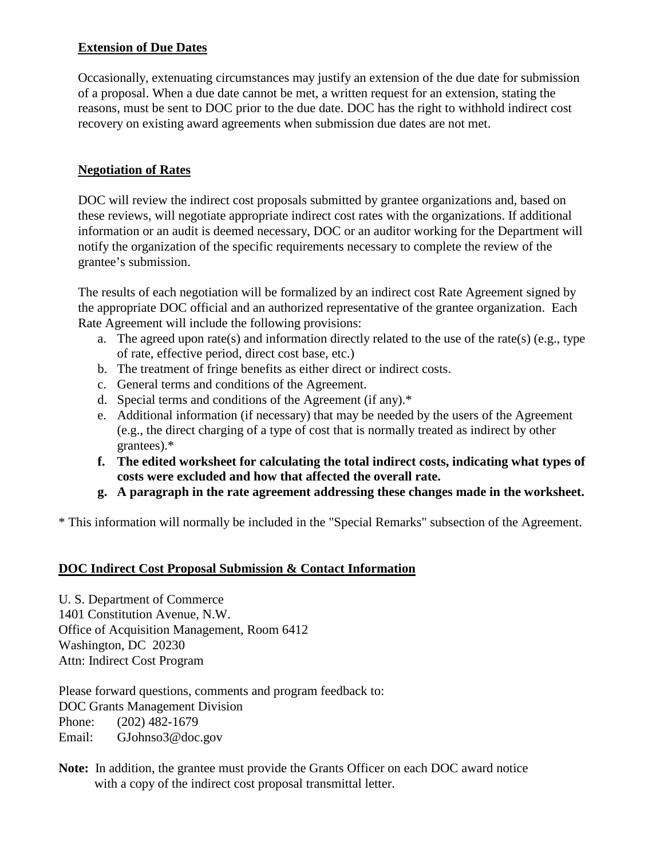### **Extension of Due Dates**

Occasionally, extenuating circumstances may justify an extension of the due date for submission of a proposal. When a due date cannot be met, a written request for an extension, stating the reasons, must be sent to DOC prior to the due date. DOC has the right to withhold indirect cost recovery on existing award agreements when submission due dates are not met.

### **Negotiation of Rates**

DOC will review the indirect cost proposals submitted by grantee organizations and, based on these reviews, will negotiate appropriate indirect cost rates with the organizations. If additional information or an audit is deemed necessary, DOC or an auditor working for the Department will notify the organization of the specific requirements necessary to complete the review of the grantee's submission.

The results of each negotiation will be formalized by an indirect cost Rate Agreement signed by the appropriate DOC official and an authorized representative of the grantee organization. Each Rate Agreement will include the following provisions:

- a. The agreed upon rate(s) and information directly related to the use of the rate(s) (e.g., type of rate, effective period, direct cost base, etc.)
- b. The treatment of fringe benefits as either direct or indirect costs.
- c. General terms and conditions of the Agreement.
- d. Special terms and conditions of the Agreement (if any).\*
- e. Additional information (if necessary) that may be needed by the users of the Agreement (e.g., the direct charging of a type of cost that is normally treated as indirect by other grantees).\*
- **f. The edited worksheet for calculating the total indirect costs, indicating what types of costs were excluded and how that affected the overall rate.**
- **g. A paragraph in the rate agreement addressing these changes made in the worksheet.**

\* This information will normally be included in the "Special Remarks" subsection of the Agreement.

## **DOC Indirect Cost Proposal Submission & Contact Information**

U. S. Department of Commerce 1401 Constitution Avenue, N.W. Office of Acquisition Management, Room 6412 Washington, DC 20230 Attn: Indirect Cost Program

Please forward questions, comments and program feedback to: DOC Grants Management Division Phone: (202) 482-1679 Email: GJohnso3@doc.gov

**Note:** In addition, the grantee must provide the Grants Officer on each DOC award notice with a copy of the indirect cost proposal transmittal letter.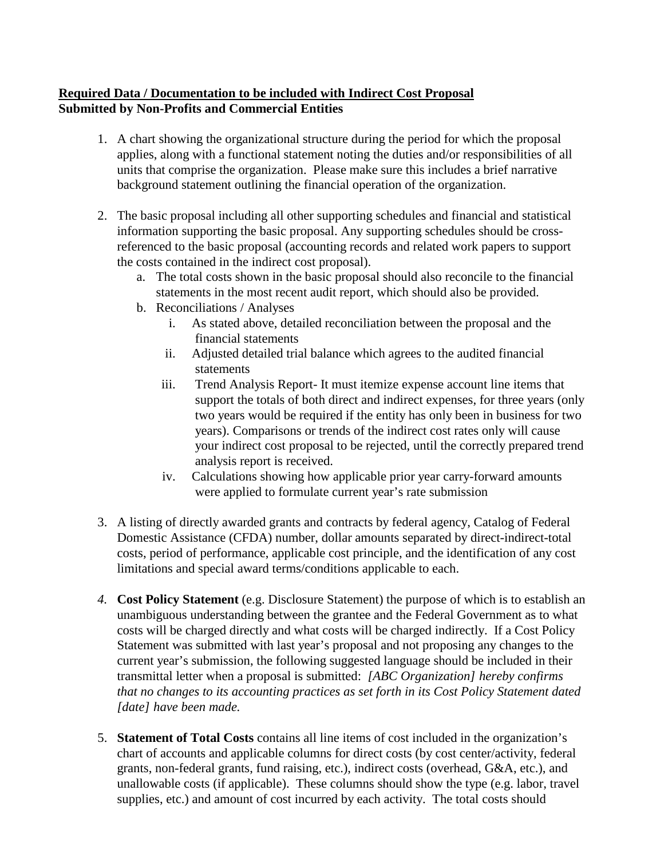### **Required Data / Documentation to be included with Indirect Cost Proposal Submitted by Non-Profits and Commercial Entities**

- 1. A chart showing the organizational structure during the period for which the proposal applies, along with a functional statement noting the duties and/or responsibilities of all units that comprise the organization. Please make sure this includes a brief narrative background statement outlining the financial operation of the organization.
- 2. The basic proposal including all other supporting schedules and financial and statistical information supporting the basic proposal. Any supporting schedules should be crossreferenced to the basic proposal (accounting records and related work papers to support the costs contained in the indirect cost proposal).
	- a. The total costs shown in the basic proposal should also reconcile to the financial statements in the most recent audit report, which should also be provided.
	- b. Reconciliations / Analyses
		- i. As stated above, detailed reconciliation between the proposal and the financial statements
		- ii. Adjusted detailed trial balance which agrees to the audited financial statements
		- iii. Trend Analysis Report- It must itemize expense account line items that support the totals of both direct and indirect expenses, for three years (only two years would be required if the entity has only been in business for two years). Comparisons or trends of the indirect cost rates only will cause your indirect cost proposal to be rejected, until the correctly prepared trend analysis report is received.
		- iv. Calculations showing how applicable prior year carry-forward amounts were applied to formulate current year's rate submission
- 3. A listing of directly awarded grants and contracts by federal agency, Catalog of Federal Domestic Assistance (CFDA) number, dollar amounts separated by direct-indirect-total costs, period of performance, applicable cost principle, and the identification of any cost limitations and special award terms/conditions applicable to each.
- *4.* **Cost Policy Statement** (e.g. Disclosure Statement) the purpose of which is to establish an unambiguous understanding between the grantee and the Federal Government as to what costs will be charged directly and what costs will be charged indirectly. If a Cost Policy Statement was submitted with last year's proposal and not proposing any changes to the current year's submission, the following suggested language should be included in their transmittal letter when a proposal is submitted: *[ABC Organization] hereby confirms that no changes to its accounting practices as set forth in its Cost Policy Statement dated [date] have been made.*
- 5. **Statement of Total Costs** contains all line items of cost included in the organization's chart of accounts and applicable columns for direct costs (by cost center/activity, federal grants, non-federal grants, fund raising, etc.), indirect costs (overhead, G&A, etc.), and unallowable costs (if applicable). These columns should show the type (e.g. labor, travel supplies, etc.) and amount of cost incurred by each activity. The total costs should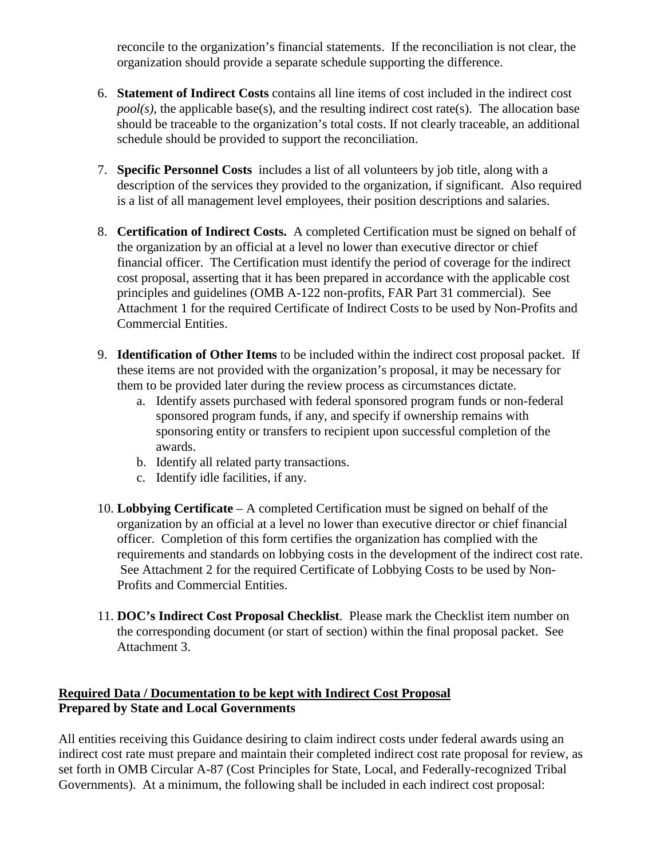reconcile to the organization's financial statements. If the reconciliation is not clear, the organization should provide a separate schedule supporting the difference.

- 6. **Statement of Indirect Costs** contains all line items of cost included in the indirect cost *pool(s)*, the applicable base(s), and the resulting indirect cost rate(s). The allocation base should be traceable to the organization's total costs. If not clearly traceable, an additional schedule should be provided to support the reconciliation.
- 7. **Specific Personnel Costs** includes a list of all volunteers by job title, along with a description of the services they provided to the organization, if significant. Also required is a list of all management level employees, their position descriptions and salaries.
- 8. **Certification of Indirect Costs.** A completed Certification must be signed on behalf of the organization by an official at a level no lower than executive director or chief financial officer. The Certification must identify the period of coverage for the indirect cost proposal, asserting that it has been prepared in accordance with the applicable cost principles and guidelines (OMB A-122 non-profits, FAR Part 31 commercial). See Attachment 1 for the required Certificate of Indirect Costs to be used by Non-Profits and Commercial Entities.
- 9. **Identification of Other Items** to be included within the indirect cost proposal packet. If these items are not provided with the organization's proposal, it may be necessary for them to be provided later during the review process as circumstances dictate.
	- a. Identify assets purchased with federal sponsored program funds or non-federal sponsored program funds, if any, and specify if ownership remains with sponsoring entity or transfers to recipient upon successful completion of the awards.
	- b. Identify all related party transactions.
	- c. Identify idle facilities, if any.
- 10. **Lobbying Certificate** A completed Certification must be signed on behalf of the organization by an official at a level no lower than executive director or chief financial officer. Completion of this form certifies the organization has complied with the requirements and standards on lobbying costs in the development of the indirect cost rate. See Attachment 2 for the required Certificate of Lobbying Costs to be used by Non-Profits and Commercial Entities.
- 11. **DOC's Indirect Cost Proposal Checklist**. Please mark the Checklist item number on the corresponding document (or start of section) within the final proposal packet. See Attachment 3.

### **Required Data / Documentation to be kept with Indirect Cost Proposal Prepared by State and Local Governments**

All entities receiving this Guidance desiring to claim indirect costs under federal awards using an indirect cost rate must prepare and maintain their completed indirect cost rate proposal for review, as set forth in OMB Circular A-87 (Cost Principles for State, Local, and Federally-recognized Tribal Governments). At a minimum, the following shall be included in each indirect cost proposal: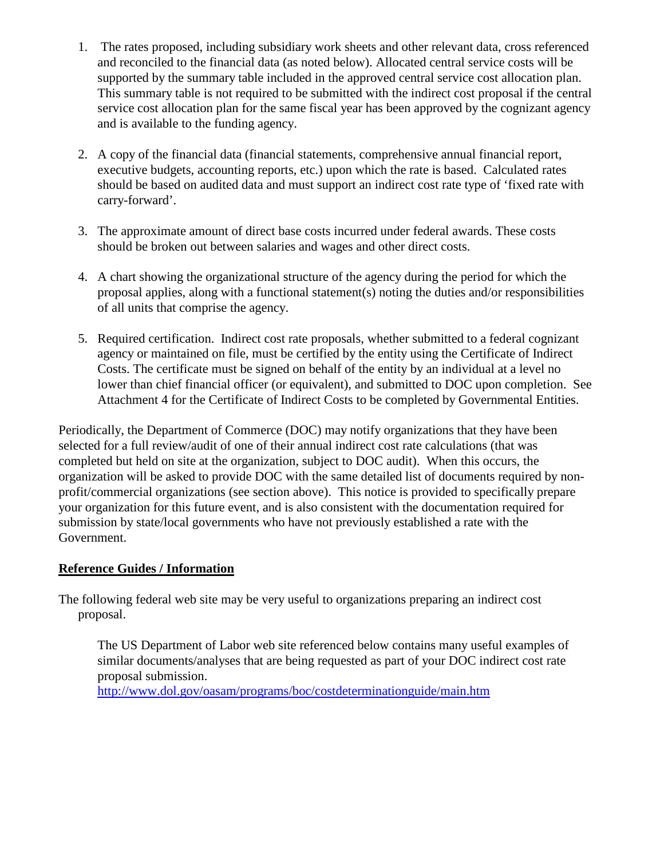- 1. The rates proposed, including subsidiary work sheets and other relevant data, cross referenced and reconciled to the financial data (as noted below). Allocated central service costs will be supported by the summary table included in the approved central service cost allocation plan. This summary table is not required to be submitted with the indirect cost proposal if the central service cost allocation plan for the same fiscal year has been approved by the cognizant agency and is available to the funding agency.
- 2. A copy of the financial data (financial statements, comprehensive annual financial report, executive budgets, accounting reports, etc.) upon which the rate is based. Calculated rates should be based on audited data and must support an indirect cost rate type of 'fixed rate with carry-forward'.
- 3. The approximate amount of direct base costs incurred under federal awards. These costs should be broken out between salaries and wages and other direct costs.
- 4. A chart showing the organizational structure of the agency during the period for which the proposal applies, along with a functional statement(s) noting the duties and/or responsibilities of all units that comprise the agency.
- 5. Required certification. Indirect cost rate proposals, whether submitted to a federal cognizant agency or maintained on file, must be certified by the entity using the Certificate of Indirect Costs. The certificate must be signed on behalf of the entity by an individual at a level no lower than chief financial officer (or equivalent), and submitted to DOC upon completion. See Attachment 4 for the Certificate of Indirect Costs to be completed by Governmental Entities.

Periodically, the Department of Commerce (DOC) may notify organizations that they have been selected for a full review/audit of one of their annual indirect cost rate calculations (that was completed but held on site at the organization, subject to DOC audit). When this occurs, the organization will be asked to provide DOC with the same detailed list of documents required by nonprofit/commercial organizations (see section above). This notice is provided to specifically prepare your organization for this future event, and is also consistent with the documentation required for submission by state/local governments who have not previously established a rate with the Government.

## **Reference Guides / Information**

The following federal web site may be very useful to organizations preparing an indirect cost proposal.

The US Department of Labor web site referenced below contains many useful examples of similar documents/analyses that are being requested as part of your DOC indirect cost rate proposal submission.

http://www.dol.gov/oasam/programs/boc/costdeterminationguide/main.htm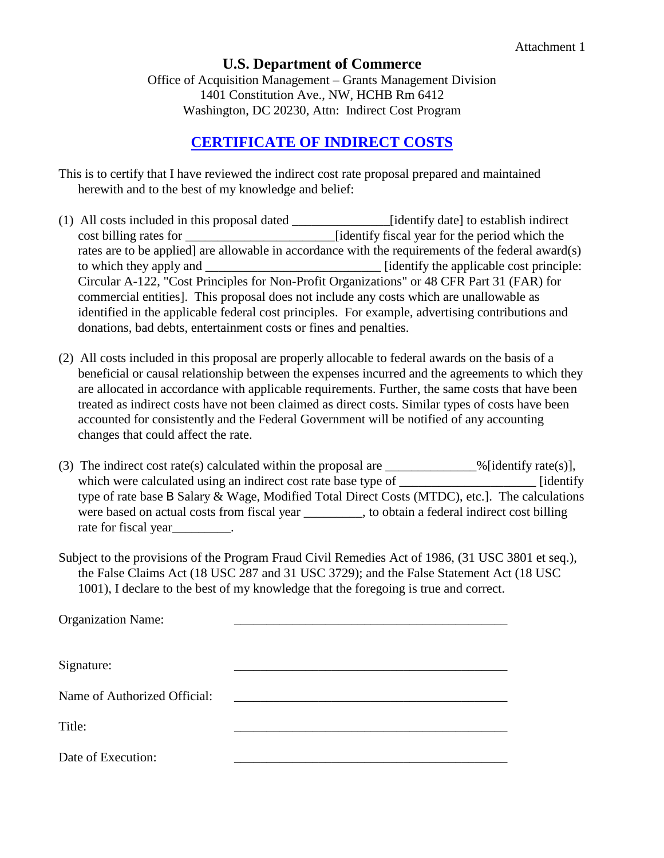#### **U.S. Department of Commerce**

Office of Acquisition Management – Grants Management Division 1401 Constitution Ave., NW, HCHB Rm 6412 Washington, DC 20230, Attn: Indirect Cost Program

## **CERTIFICATE OF INDIRECT COSTS**

- This is to certify that I have reviewed the indirect cost rate proposal prepared and maintained herewith and to the best of my knowledge and belief:
- (1) All costs included in this proposal dated \_\_\_\_\_\_\_\_\_\_\_\_\_\_\_[identify date] to establish indirect cost billing rates for \_\_\_\_\_\_\_\_\_\_\_\_\_\_\_\_\_\_\_\_\_\_\_[identify fiscal year for the period which the rates are to be applied] are allowable in accordance with the requirements of the federal award(s) to which they apply and  $\qquad$  [identify the applicable cost principle: Circular A-122, "Cost Principles for Non-Profit Organizations" or 48 CFR Part 31 (FAR) for commercial entities]. This proposal does not include any costs which are unallowable as identified in the applicable federal cost principles. For example, advertising contributions and donations, bad debts, entertainment costs or fines and penalties.
- (2) All costs included in this proposal are properly allocable to federal awards on the basis of a beneficial or causal relationship between the expenses incurred and the agreements to which they are allocated in accordance with applicable requirements. Further, the same costs that have been treated as indirect costs have not been claimed as direct costs. Similar types of costs have been accounted for consistently and the Federal Government will be notified of any accounting changes that could affect the rate.
- (3) The indirect cost rate(s) calculated within the proposal are \_\_\_\_\_\_\_\_\_\_\_\_\_% [identify rate(s)], which were calculated using an indirect cost rate base type of \_\_\_\_\_\_\_\_\_\_\_\_\_\_\_\_\_\_\_\_ [identify type of rate base B Salary & Wage, Modified Total Direct Costs (MTDC), etc.]. The calculations were based on actual costs from fiscal year \_\_\_\_\_\_\_\_\_, to obtain a federal indirect cost billing rate for fiscal year example.
- Subject to the provisions of the Program Fraud Civil Remedies Act of 1986, (31 USC 3801 et seq.), the False Claims Act (18 USC 287 and 31 USC 3729); and the False Statement Act (18 USC 1001), I declare to the best of my knowledge that the foregoing is true and correct.

| <b>Organization Name:</b>    |  |
|------------------------------|--|
| Signature:                   |  |
| Name of Authorized Official: |  |
| Title:                       |  |
| Date of Execution:           |  |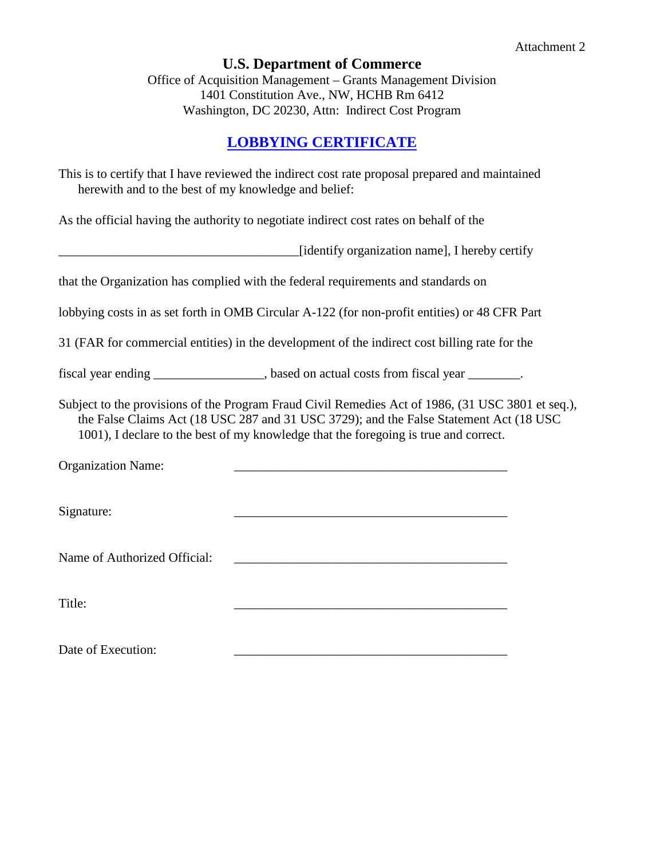# **U.S. Department of Commerce**

Office of Acquisition Management – Grants Management Division 1401 Constitution Ave., NW, HCHB Rm 6412 Washington, DC 20230, Attn: Indirect Cost Program

# **LOBBYING CERTIFICATE**

| herewith and to the best of my knowledge and belief: | This is to certify that I have reviewed the indirect cost rate proposal prepared and maintained                                                                                                                                                                                     |
|------------------------------------------------------|-------------------------------------------------------------------------------------------------------------------------------------------------------------------------------------------------------------------------------------------------------------------------------------|
|                                                      | As the official having the authority to negotiate indirect cost rates on behalf of the                                                                                                                                                                                              |
|                                                      | [identify organization name], I hereby certify                                                                                                                                                                                                                                      |
|                                                      | that the Organization has complied with the federal requirements and standards on                                                                                                                                                                                                   |
|                                                      | lobbying costs in as set forth in OMB Circular A-122 (for non-profit entities) or 48 CFR Part                                                                                                                                                                                       |
|                                                      | 31 (FAR for commercial entities) in the development of the indirect cost billing rate for the                                                                                                                                                                                       |
|                                                      | fiscal year ending _______________, based on actual costs from fiscal year _______.                                                                                                                                                                                                 |
|                                                      | Subject to the provisions of the Program Fraud Civil Remedies Act of 1986, (31 USC 3801 et seq.),<br>the False Claims Act (18 USC 287 and 31 USC 3729); and the False Statement Act (18 USC<br>1001), I declare to the best of my knowledge that the foregoing is true and correct. |
| <b>Organization Name:</b>                            |                                                                                                                                                                                                                                                                                     |
| Signature:                                           |                                                                                                                                                                                                                                                                                     |
| Name of Authorized Official:                         |                                                                                                                                                                                                                                                                                     |
| Title:                                               |                                                                                                                                                                                                                                                                                     |
| Date of Execution:                                   |                                                                                                                                                                                                                                                                                     |